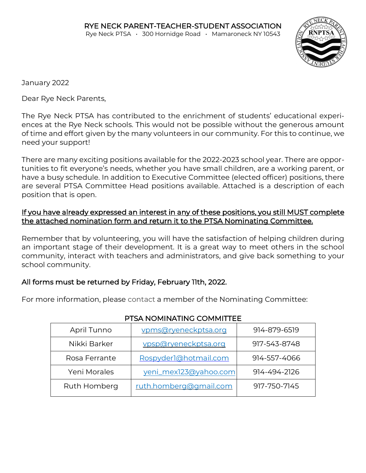

January 2022

Dear Rye Neck Parents,

The Rye Neck PTSA has contributed to the enrichment of students' educational experiences at the Rye Neck schools. This would not be possible without the generous amount of time and effort given by the many volunteers in our community. For this to continue, we need your support!

There are many exciting positions available for the 2022-2023 school year. There are opportunities to fit everyone's needs, whether you have small children, are a working parent, or have a busy schedule. In addition to Executive Committee (elected officer) positions, there are several PTSA Committee Head positions available. Attached is a description of each position that is open.

#### If you have already expressed an interest in any of these positions, you still MUST complete the attached nomination form and return it to the PTSA Nominating Committee.

Remember that by volunteering, you will have the satisfaction of helping children during an important stage of their development. It is a great way to meet others in the school community, interact with teachers and administrators, and give back something to your school community.

## All forms must be returned by Friday, February 11th, 2022.

For more information, please contact a member of the Nominating Committee:

| April Tunno   | vpms@ryeneckptsa.org   | 914-879-6519 |
|---------------|------------------------|--------------|
| Nikki Barker  | vpsp@ryeneckptsa.org   | 917-543-8748 |
| Rosa Ferrante | Rospyder1@hotmail.com  | 914-557-4066 |
| Yeni Morales  | yeni_mex123@yahoo.com  | 914-494-2126 |
| Ruth Homberg  | ruth.homberg@gmail.com | 917-750-7145 |

## PTSA NOMINATING COMMITTEE